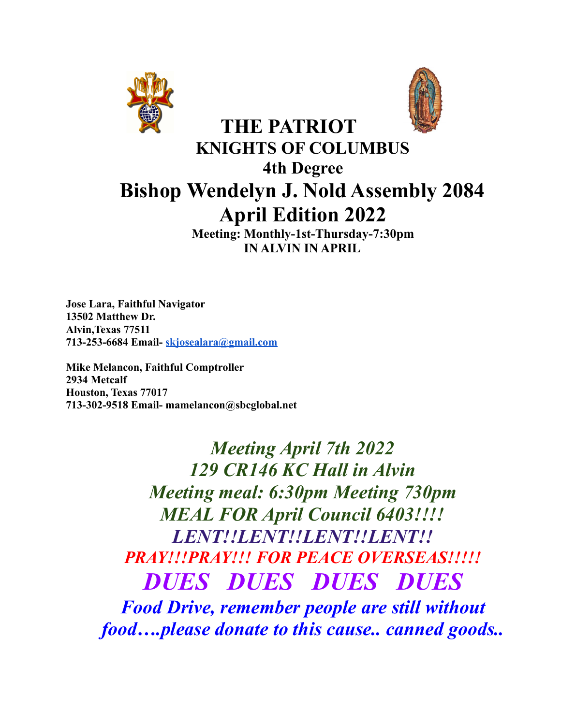



# **THE PATRIOT KNIGHTS OF COLUMBUS 4th Degree Bishop Wendelyn J. Nold Assembly 2084 April Edition 2022**

**Meeting: Monthly-1st-Thursday-7:30pm IN ALVIN IN APRIL**

**Jose Lara, Faithful Navigator 13502 Matthew Dr. Alvin,Texas 77511 713-253-6684 Email- [skjosealara@gmail.com](mailto:skjosealara@gmail.com)**

**Mike Melancon, Faithful Comptroller 2934 Metcalf Houston, Texas 77017 713-302-9518 Email- mamelancon@sbcglobal.net**

> *Meeting April 7th 2022 129 CR146 KC Hall in Alvin Meeting meal: 6:30pm Meeting 730pm MEAL FOR April Council 6403!!!! LENT!!LENT!!LENT!!LENT!! PRAY!!!PRAY!!! FOR PEACE OVERSEAS!!!!! DUES DUES DUES DUES Food Drive, remember people are still without food….please donate to this cause.. canned goods..*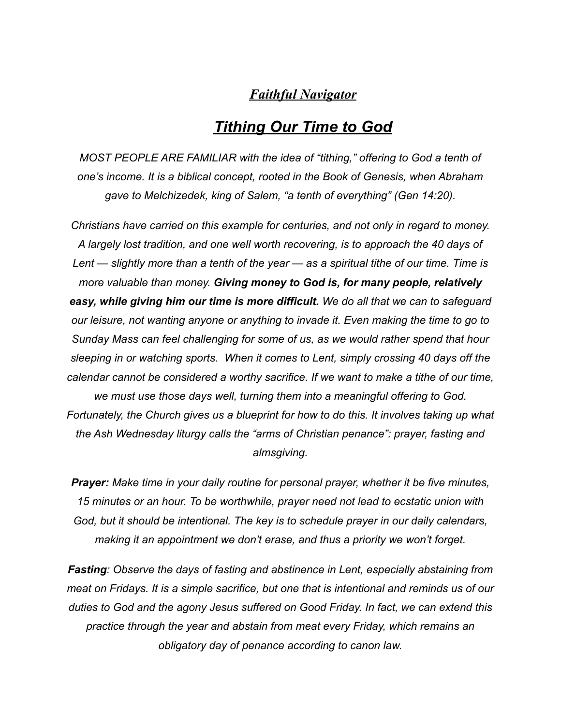#### *Faithful Navigator*

#### *Tithing Our Time to God*

*MOST PEOPLE ARE FAMILIAR with the idea of "tithing," offering to God a tenth of one's income. It is a biblical concept, rooted in the Book of Genesis, when Abraham gave to Melchizedek, king of Salem, "a tenth of everything" (Gen 14:20).*

*Christians have carried on this example for centuries, and not only in regard to money. A largely lost tradition, and one well worth recovering, is to approach the 40 days of Lent — slightly more than a tenth of the year — as a spiritual tithe of our time. Time is more valuable than money. Giving money to God is, for many people, relatively easy, while giving him our time is more difficult. We do all that we can to safeguard our leisure, not wanting anyone or anything to invade it. Even making the time to go to Sunday Mass can feel challenging for some of us, as we would rather spend that hour sleeping in or watching sports. When it comes to Lent, simply crossing 40 days off the calendar cannot be considered a worthy sacrifice. If we want to make a tithe of our time, we must use those days well, turning them into a meaningful offering to God. Fortunately, the Church gives us a blueprint for how to do this. It involves taking up what the Ash Wednesday liturgy calls the "arms of Christian penance": prayer, fasting and almsgiving.*

*Prayer: Make time in your daily routine for personal prayer, whether it be five minutes, 15 minutes or an hour. To be worthwhile, prayer need not lead to ecstatic union with God, but it should be intentional. The key is to schedule prayer in our daily calendars, making it an appointment we don't erase, and thus a priority we won't forget.*

*Fasting: Observe the days of fasting and abstinence in Lent, especially abstaining from meat on Fridays. It is a simple sacrifice, but one that is intentional and reminds us of our duties to God and the agony Jesus suffered on Good Friday. In fact, we can extend this practice through the year and abstain from meat every Friday, which remains an obligatory day of penance according to canon law.*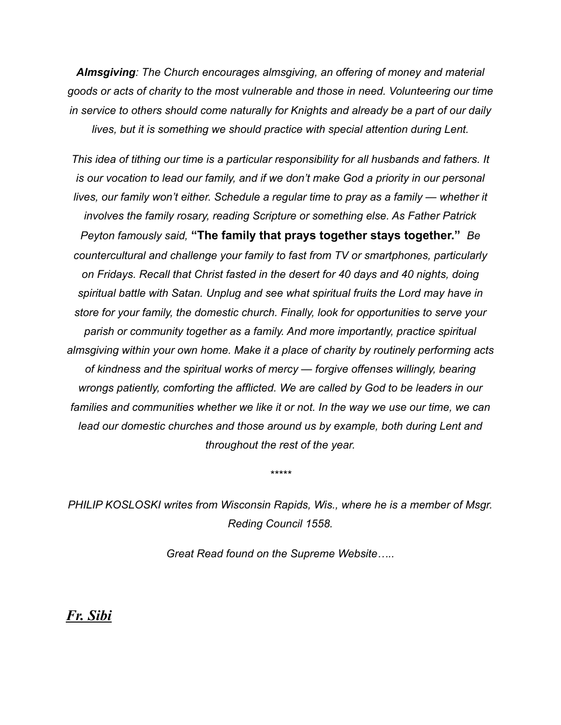*Almsgiving: The Church encourages almsgiving, an offering of money and material goods or acts of charity to the most vulnerable and those in need. Volunteering our time in service to others should come naturally for Knights and already be a part of our daily lives, but it is something we should practice with special attention during Lent.*

*This idea of tithing our time is a particular responsibility for all husbands and fathers. It is our vocation to lead our family, and if we don't make God a priority in our personal lives, our family won't either. Schedule a regular time to pray as a family — whether it involves the family rosary, reading Scripture or something else. As Father Patrick Peyton famously said,* **"The family that prays together stays together."** *Be countercultural and challenge your family to fast from TV or smartphones, particularly on Fridays. Recall that Christ fasted in the desert for 40 days and 40 nights, doing spiritual battle with Satan. Unplug and see what spiritual fruits the Lord may have in store for your family, the domestic church. Finally, look for opportunities to serve your parish or community together as a family. And more importantly, practice spiritual almsgiving within your own home. Make it a place of charity by routinely performing acts of kindness and the spiritual works of mercy — forgive offenses willingly, bearing wrongs patiently, comforting the afflicted. We are called by God to be leaders in our families and communities whether we like it or not. In the way we use our time, we can lead our domestic churches and those around us by example, both during Lent and throughout the rest of the year.*

*PHILIP KOSLOSKI writes from Wisconsin Rapids, Wis., where he is a member of Msgr. Reding Council 1558.*

*\*\*\*\*\**

*Great Read found on the Supreme Website…..*

*Fr. Sibi*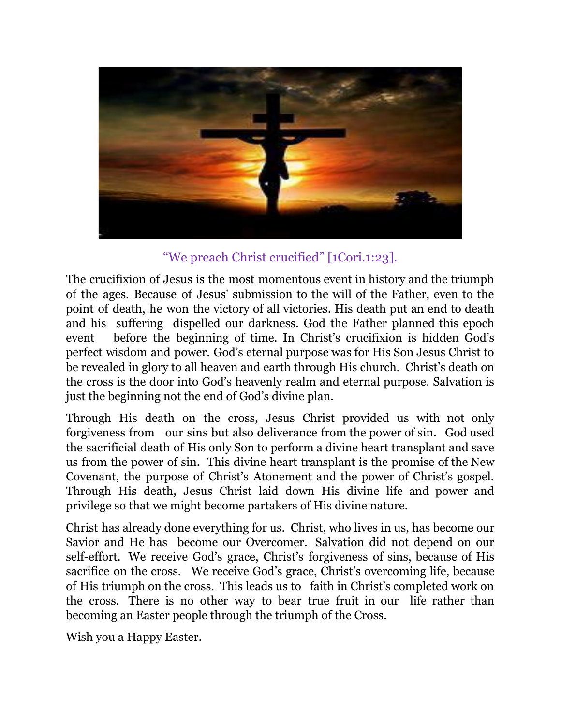

"We preach Christ crucified" [1Cori.1:23].

The crucifixion of Jesus is the most momentous event in history and the triumph of the ages. Because of Jesus' submission to the will of the Father, even to the point of death, he won the victory of all victories. His death put an end to death and his suffering dispelled our darkness. God the Father planned this epoch event before the beginning of time. In Christ's crucifixion is hidden God's perfect wisdom and power. God's eternal purpose was for His Son Jesus Christ to be revealed in glory to all heaven and earth through His church. Christ's death on the cross is the door into God's heavenly realm and eternal purpose. Salvation is just the beginning not the end of God's divine plan.

Through His death on the cross, Jesus Christ provided us with not only forgiveness from our sins but also deliverance from the power of sin. God used the sacrificial death of His only Son to perform a divine heart transplant and save us from the power of sin. This divine heart transplant is the promise of the New Covenant, the purpose of Christ's Atonement and the power of Christ's gospel. Through His death, Jesus Christ laid down His divine life and power and privilege so that we might become partakers of His divine nature.

Christ has already done everything for us. Christ, who lives in us, has become our Savior and He has become our Overcomer. Salvation did not depend on our self-effort. We receive God's grace, Christ's forgiveness of sins, because of His sacrifice on the cross. We receive God's grace, Christ's overcoming life, because of His triumph on the cross. This leads us to faith in Christ's completed work on the cross. There is no other way to bear true fruit in our life rather than becoming an Easter people through the triumph of the Cross.

Wish you a Happy Easter.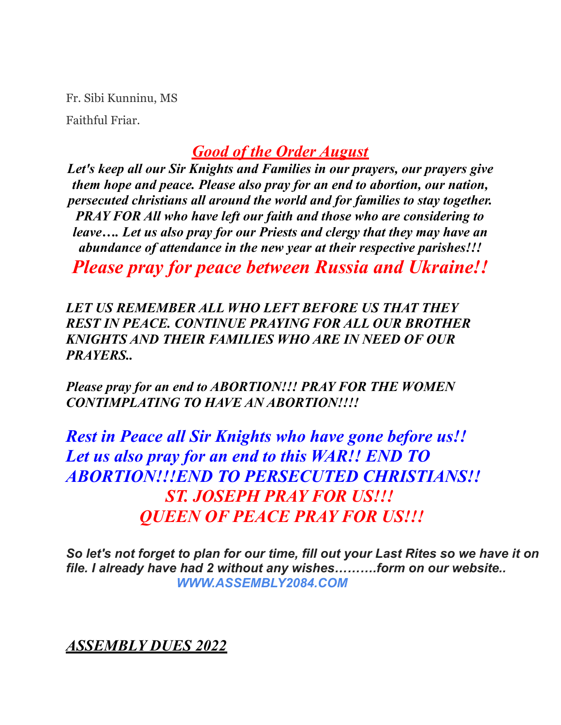Fr. Sibi Kunninu, MS

Faithful Friar.

# *Good of the Order August*

*Let's keep all our Sir Knights and Families in our prayers, our prayers give them hope and peace. Please also pray for an end to abortion, our nation, persecuted christians all around the world and for families to stay together. PRAY FOR All who have left our faith and those who are considering to leave…. Let us also pray for our Priests and clergy that they may have an abundance of attendance in the new year at their respective parishes!!!*

*Please pray for peace between Russia and Ukraine!!*

*LET US REMEMBER ALL WHO LEFT BEFORE US THAT THEY REST IN PEACE. CONTINUE PRAYING FOR ALL OUR BROTHER KNIGHTS AND THEIR FAMILIES WHO ARE IN NEED OF OUR PRAYERS..*

*Please pray for an end to ABORTION!!! PRAY FOR THE WOMEN CONTIMPLATING TO HAVE AN ABORTION!!!!*

*Rest in Peace all Sir Knights who have gone before us!! Let us also pray for an end to this WAR!! END TO ABORTION!!!END TO PERSECUTED CHRISTIANS!! ST. JOSEPH PRAY FOR US!!! QUEEN OF PEACE PRAY FOR US!!!*

*So let's not forget to plan for our time, fill out your Last Rites so we have it on file. I already have had 2 without any wishes……….form on our website.. WWW.ASSEMBLY2084.COM*

*ASSEMBLY DUES 2022*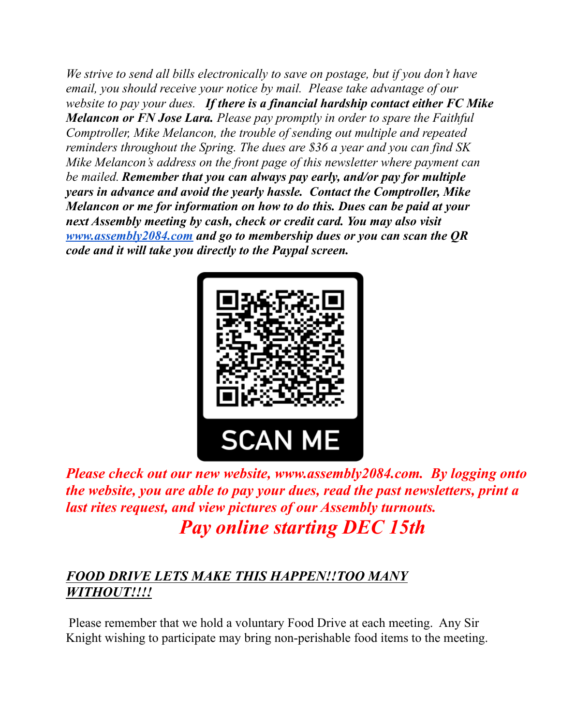*We strive to send all bills electronically to save on postage, but if you don't have email, you should receive your notice by mail. Please take advantage of our website to pay your dues. If there is a financial hardship contact either FC Mike Melancon or FN Jose Lara. Please pay promptly in order to spare the Faithful Comptroller, Mike Melancon, the trouble of sending out multiple and repeated reminders throughout the Spring. The dues are \$36 a year and you can find SK Mike Melancon's address on the front page of this newsletter where payment can be mailed. Remember that you can always pay early, and/or pay for multiple years in advance and avoid the yearly hassle. Contact the Comptroller, Mike Melancon or me for information on how to do this. Dues can be paid at your next Assembly meeting by cash, check or credit card. You may also visit [www.assembly2084.com](http://www.assembly2084.com) and go to membership dues or you can scan the QR code and it will take you directly to the Paypal screen.*



*Please check out our new website, www.assembly2084.com. By logging onto the website, you are able to pay your dues, read the past newsletters, print a last rites request, and view pictures of our Assembly turnouts. Pay online starting DEC 15th*

#### *FOOD DRIVE LETS MAKE THIS HAPPEN!!TOO MANY WITHOUT!!!!*

Please remember that we hold a voluntary Food Drive at each meeting. Any Sir Knight wishing to participate may bring non-perishable food items to the meeting.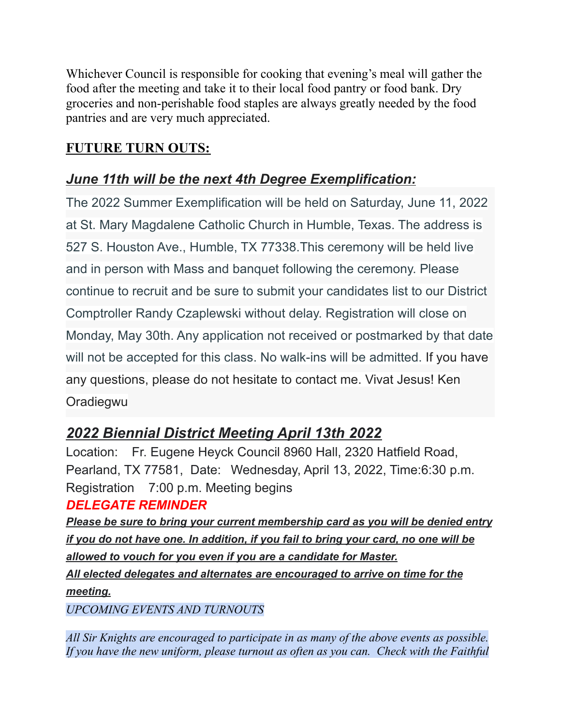Whichever Council is responsible for cooking that evening's meal will gather the food after the meeting and take it to their local food pantry or food bank. Dry groceries and non-perishable food staples are always greatly needed by the food pantries and are very much appreciated.

#### **FUTURE TURN OUTS:**

#### *June 11th will be the next 4th Degree Exemplification:*

The 2022 Summer Exemplification will be held on Saturday, June 11, 2022 at St. Mary Magdalene Catholic Church in Humble, Texas. The address is 527 S. Houston Ave., Humble, TX 77338.This ceremony will be held live and in person with Mass and banquet following the ceremony. Please continue to recruit and be sure to submit your candidates list to our District Comptroller Randy Czaplewski without delay. Registration will close on Monday, May 30th. Any application not received or postmarked by that date will not be accepted for this class. No walk-ins will be admitted. If you have any questions, please do not hesitate to contact me. Vivat Jesus! Ken **Oradiegwu** 

# *2022 Biennial District Meeting April 13th 2022*

Location: Fr. Eugene Heyck Council 8960 Hall, 2320 Hatfield Road, Pearland, TX 77581, Date: Wednesday, April 13, 2022, Time:6:30 p.m. Registration 7:00 p.m. Meeting begins

#### *DELEGATE REMINDER*

*Please be sure to bring your current membership card as you will be denied entry if you do not have one. In addition, if you fail to bring your card, no one will be allowed to vouch for you even if you are a candidate for Master. All elected delegates and alternates are encouraged to arrive on time for the meeting.*

*UPCOMING EVENTS AND TURNOUTS*

*All Sir Knights are encouraged to participate in as many of the above events as possible. If you have the new uniform, please turnout as often as you can. Check with the Faithful*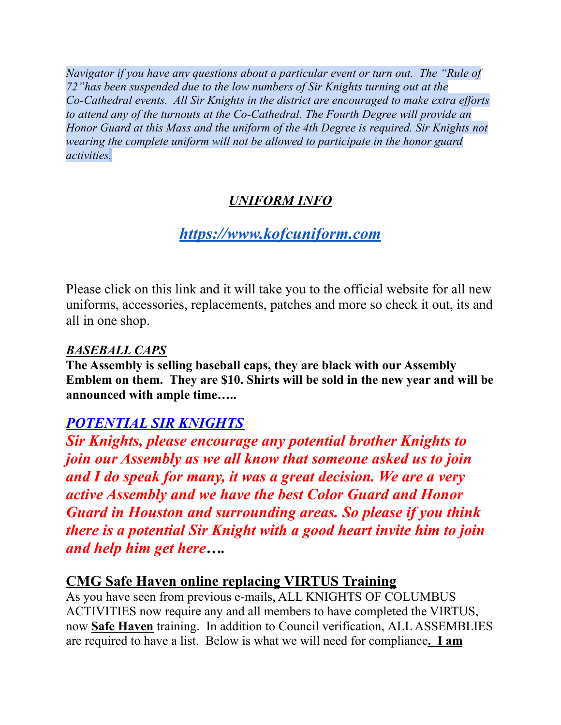*Navigator if you have any questions about a particular event or turn out. The "Rule of 72"has been suspended due to the low numbers of Sir Knights turning out at the Co-Cathedral events. All Sir Knights in the district are encouraged to make extra ef orts to attend any of the turnouts at the Co-Cathedral. The Fourth Degree will provide an Honor Guard at this Mass and the uniform of the 4th Degree is required. Sir Knights not wearing the complete uniform will not be allowed to participate in the honor guard activities.*

#### *UNIFORM INFO*

# *[https://www.kofcuniform.com](https://www.kofcuniform.com/uniform-packages/package/knights-of-columbus-executive-fit-uniform-package-uniform-package/)*

Please click on this link and it will take you to the official website for all new uniforms, accessories, replacements, patches and more so check it out, its and all in one shop.

#### *BASEBALL CAPS*

**The Assembly is selling baseball caps, they are black with our Assembly Emblem on them. They are \$10. Shirts will be sold in the new year and will be announced with ample time…..**

# *POTENTIAL SIR KNIGHTS*

*Sir Knights, please encourage any potential brother Knights to join our Assembly as we all know that someone asked us to join and I do speak for many, it was a great decision. We are a very active Assembly and we have the best Color Guard and Honor Guard in Houston and surrounding areas. So please if you think there is a potential Sir Knight with a good heart invite him to join and help him get here….*

#### **CMG Safe Haven online replacing VIRTUS Training**

As you have seen from previous e-mails, ALL KNIGHTS OF COLUMBUS ACTIVITIES now require any and all members to have completed the VIRTUS, now **Safe Haven** training. In addition to Council verification, ALL ASSEMBLIES are required to have a list. Below is what we will need for compliance**. I am**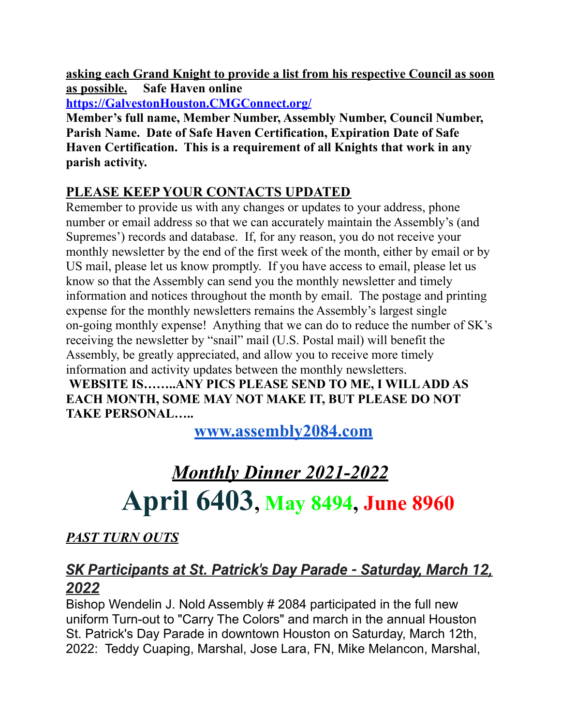**asking each Grand Knight to provide a list from his respective Council as soon as possible. Safe Haven online**

**[https://GalvestonHouston.CMGConnect.org/](https://galvestonhouston.cmgconnect.org/)**

**Member's full name, Member Number, Assembly Number, Council Number, Parish Name. Date of Safe Haven Certification, Expiration Date of Safe Haven Certification. This is a requirement of all Knights that work in any parish activity.**

### **PLEASE KEEP YOUR CONTACTS UPDATED**

Remember to provide us with any changes or updates to your address, phone number or email address so that we can accurately maintain the Assembly's (and Supremes') records and database. If, for any reason, you do not receive your monthly newsletter by the end of the first week of the month, either by email or by US mail, please let us know promptly. If you have access to email, please let us know so that the Assembly can send you the monthly newsletter and timely information and notices throughout the month by email. The postage and printing expense for the monthly newsletters remains the Assembly's largest single on-going monthly expense! Anything that we can do to reduce the number of SK's receiving the newsletter by "snail" mail (U.S. Postal mail) will benefit the Assembly, be greatly appreciated, and allow you to receive more timely information and activity updates between the monthly newsletters.

**WEBSITE IS……..ANY PICS PLEASE SEND TO ME, I WILLADD AS EACH MONTH, SOME MAY NOT MAKE IT, BUT PLEASE DO NOT TAKE PERSONAL…..**

**[www.assembly2084.com](http://www.assembly2084.com)**

# *Monthly Dinner 2021-2022* **April 6403, May 8494, June 8960**

# *PAST TURN OUTS*

# *SK Participants at St. Patrick's Day Parade - Saturday, March 12, 2022*

Bishop Wendelin J. Nold Assembly # 2084 participated in the full new uniform Turn-out to "Carry The Colors" and march in the annual Houston St. Patrick's Day Parade in downtown Houston on Saturday, March 12th, 2022: Teddy Cuaping, Marshal, Jose Lara, FN, Mike Melancon, Marshal,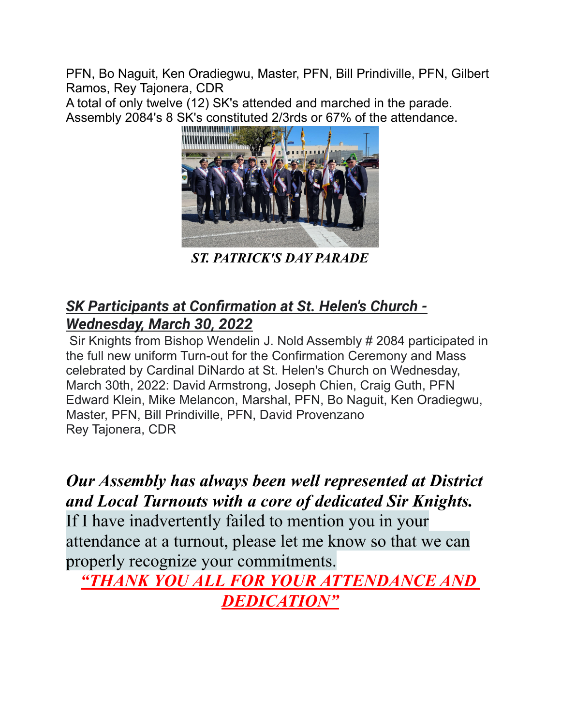PFN, Bo Naguit, Ken Oradiegwu, Master, PFN, Bill Prindiville, PFN, Gilbert Ramos, Rey Tajonera, CDR

A total of only twelve (12) SK's attended and marched in the parade. Assembly 2084's 8 SK's constituted 2/3rds or 67% of the attendance.



*ST. PATRICK'S DAY PARADE*

# *SK Participants at Confirmation at St. Helen's Church - Wednesday, March 30, 2022*

Sir Knights from Bishop Wendelin J. Nold Assembly # 2084 participated in the full new uniform Turn-out for the Confirmation Ceremony and Mass celebrated by Cardinal DiNardo at St. Helen's Church on Wednesday, March 30th, 2022: David Armstrong, Joseph Chien, Craig Guth, PFN Edward Klein, Mike Melancon, Marshal, PFN, Bo Naguit, Ken Oradiegwu, Master, PFN, Bill Prindiville, PFN, David Provenzano Rey Tajonera, CDR

*Our Assembly has always been well represented at District and Local Turnouts with a core of dedicated Sir Knights.*

If I have inadvertently failed to mention you in your attendance at a turnout, please let me know so that we can properly recognize your commitments.

*"THANK YOU ALL FOR YOUR ATTENDANCE AND DEDICATION"*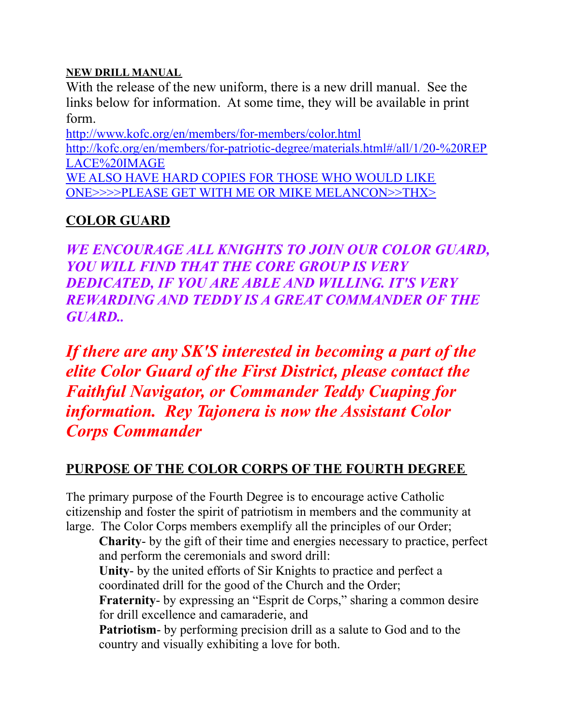#### **NEW DRILL MANUAL**

With the release of the new uniform, there is a new drill manual. See the links below for information. At some time, they will be available in print form.

<http://www.kofc.org/en/members/for-members/color.html> [http://kofc.org/en/members/for-patriotic-degree/materials.html#/all/1/20-%20REP](http://kofc.org/en/members/for-patriotic-degree/materials.html#/all/1/20-%20REPLACE%20IMAGE) [LACE%20IMAGE](http://kofc.org/en/members/for-patriotic-degree/materials.html#/all/1/20-%20REPLACE%20IMAGE) WE ALSO HAVE HARD COPIES FOR THOSE WHO WOULD LIKE ONE>>>>PLEASE GET WITH ME OR MIKE MELANCON>>THX>

#### **COLOR GUARD**

*WE ENCOURAGE ALL KNIGHTS TO JOIN OUR COLOR GUARD, YOU WILL FIND THAT THE CORE GROUP IS VERY DEDICATED, IF YOU ARE ABLE AND WILLING. IT'S VERY REWARDING AND TEDDY IS A GREAT COMMANDER OF THE GUARD..*

*If there are any SK'S interested in becoming a part of the elite Color Guard of the First District, please contact the Faithful Navigator, or Commander Teddy Cuaping for information. Rey Tajonera is now the Assistant Color Corps Commander*

#### **PURPOSE OF THE COLOR CORPS OF THE FOURTH DEGREE**

The primary purpose of the Fourth Degree is to encourage active Catholic citizenship and foster the spirit of patriotism in members and the community at large. The Color Corps members exemplify all the principles of our Order;

**Charity**- by the gift of their time and energies necessary to practice, perfect and perform the ceremonials and sword drill:

**Unity**- by the united efforts of Sir Knights to practice and perfect a coordinated drill for the good of the Church and the Order;

Fraternity- by expressing an "Esprit de Corps," sharing a common desire for drill excellence and camaraderie, and

**Patriotism**- by performing precision drill as a salute to God and to the country and visually exhibiting a love for both.